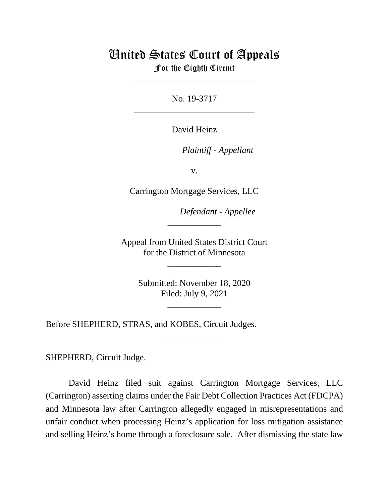## United States Court of Appeals

For the Eighth Circuit \_\_\_\_\_\_\_\_\_\_\_\_\_\_\_\_\_\_\_\_\_\_\_\_\_\_\_

No. 19-3717 \_\_\_\_\_\_\_\_\_\_\_\_\_\_\_\_\_\_\_\_\_\_\_\_\_\_\_

David Heinz

*Plaintiff - Appellant*

v.

Carrington Mortgage Services, LLC

*Defendant - Appellee*

Appeal from United States District Court for the District of Minnesota

\_\_\_\_\_\_\_\_\_\_\_\_

\_\_\_\_\_\_\_\_\_\_\_\_

Submitted: November 18, 2020 Filed: July 9, 2021

\_\_\_\_\_\_\_\_\_\_\_\_

\_\_\_\_\_\_\_\_\_\_\_\_

Before SHEPHERD, STRAS, and KOBES, Circuit Judges.

SHEPHERD, Circuit Judge.

David Heinz filed suit against Carrington Mortgage Services, LLC (Carrington) asserting claims under the Fair Debt Collection Practices Act (FDCPA) and Minnesota law after Carrington allegedly engaged in misrepresentations and unfair conduct when processing Heinz's application for loss mitigation assistance and selling Heinz's home through a foreclosure sale. After dismissing the state law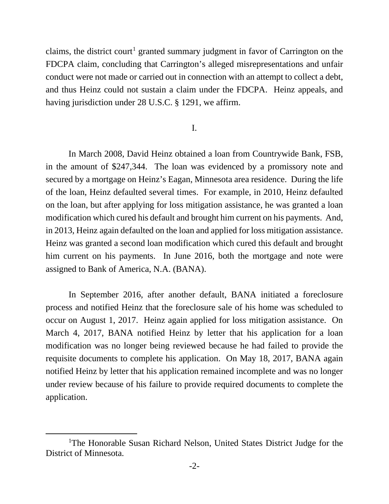claims, the district court<sup>[1](#page-1-0)</sup> granted summary judgment in favor of Carrington on the FDCPA claim, concluding that Carrington's alleged misrepresentations and unfair conduct were not made or carried out in connection with an attempt to collect a debt, and thus Heinz could not sustain a claim under the FDCPA. Heinz appeals, and having jurisdiction under 28 U.S.C. § 1291, we affirm.

## I.

 In March 2008, David Heinz obtained a loan from Countrywide Bank, FSB, in the amount of \$247,344. The loan was evidenced by a promissory note and secured by a mortgage on Heinz's Eagan, Minnesota area residence. During the life of the loan, Heinz defaulted several times. For example, in 2010, Heinz defaulted on the loan, but after applying for loss mitigation assistance, he was granted a loan modification which cured his default and brought him current on his payments. And, in 2013, Heinz again defaulted on the loan and applied for loss mitigation assistance. Heinz was granted a second loan modification which cured this default and brought him current on his payments. In June 2016, both the mortgage and note were assigned to Bank of America, N.A. (BANA).

In September 2016, after another default, BANA initiated a foreclosure process and notified Heinz that the foreclosure sale of his home was scheduled to occur on August 1, 2017. Heinz again applied for loss mitigation assistance. On March 4, 2017, BANA notified Heinz by letter that his application for a loan modification was no longer being reviewed because he had failed to provide the requisite documents to complete his application. On May 18, 2017, BANA again notified Heinz by letter that his application remained incomplete and was no longer under review because of his failure to provide required documents to complete the application.

<span id="page-1-0"></span><sup>&</sup>lt;sup>1</sup>The Honorable Susan Richard Nelson, United States District Judge for the District of Minnesota.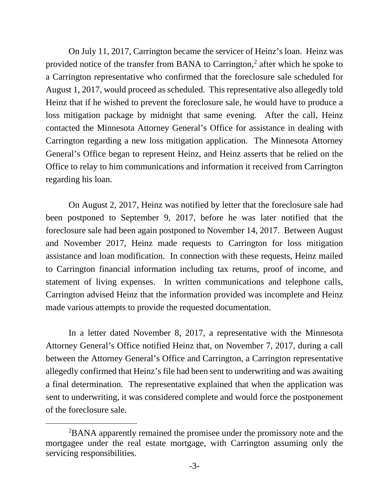On July 11, 2017, Carrington became the servicer of Heinz's loan. Heinz was provided notice of the transfer from BANA to Carrington, $<sup>2</sup>$  $<sup>2</sup>$  $<sup>2</sup>$  after which he spoke to</sup> a Carrington representative who confirmed that the foreclosure sale scheduled for August 1, 2017, would proceed as scheduled. This representative also allegedly told Heinz that if he wished to prevent the foreclosure sale, he would have to produce a loss mitigation package by midnight that same evening. After the call, Heinz contacted the Minnesota Attorney General's Office for assistance in dealing with Carrington regarding a new loss mitigation application. The Minnesota Attorney General's Office began to represent Heinz, and Heinz asserts that he relied on the Office to relay to him communications and information it received from Carrington regarding his loan.

On August 2, 2017, Heinz was notified by letter that the foreclosure sale had been postponed to September 9, 2017, before he was later notified that the foreclosure sale had been again postponed to November 14, 2017. Between August and November 2017, Heinz made requests to Carrington for loss mitigation assistance and loan modification. In connection with these requests, Heinz mailed to Carrington financial information including tax returns, proof of income, and statement of living expenses. In written communications and telephone calls, Carrington advised Heinz that the information provided was incomplete and Heinz made various attempts to provide the requested documentation.

In a letter dated November 8, 2017, a representative with the Minnesota Attorney General's Office notified Heinz that, on November 7, 2017, during a call between the Attorney General's Office and Carrington, a Carrington representative allegedly confirmed that Heinz's file had been sent to underwriting and was awaiting a final determination. The representative explained that when the application was sent to underwriting, it was considered complete and would force the postponement of the foreclosure sale.

<span id="page-2-0"></span><sup>2</sup> BANA apparently remained the promisee under the promissory note and the mortgagee under the real estate mortgage, with Carrington assuming only the servicing responsibilities.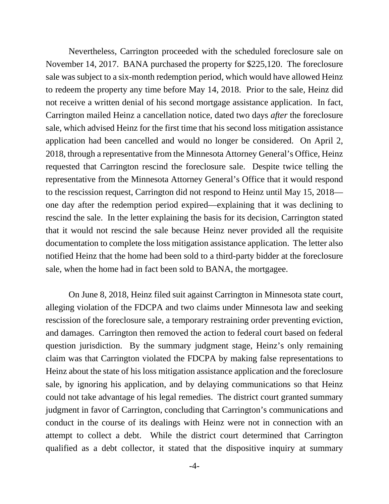Nevertheless, Carrington proceeded with the scheduled foreclosure sale on November 14, 2017. BANA purchased the property for \$225,120. The foreclosure sale was subject to a six-month redemption period, which would have allowed Heinz to redeem the property any time before May 14, 2018. Prior to the sale, Heinz did not receive a written denial of his second mortgage assistance application. In fact, Carrington mailed Heinz a cancellation notice, dated two days *after* the foreclosure sale, which advised Heinz for the first time that his second loss mitigation assistance application had been cancelled and would no longer be considered. On April 2, 2018, through a representative from the Minnesota Attorney General's Office, Heinz requested that Carrington rescind the foreclosure sale. Despite twice telling the representative from the Minnesota Attorney General's Office that it would respond to the rescission request, Carrington did not respond to Heinz until May 15, 2018 one day after the redemption period expired—explaining that it was declining to rescind the sale. In the letter explaining the basis for its decision, Carrington stated that it would not rescind the sale because Heinz never provided all the requisite documentation to complete the loss mitigation assistance application. The letter also notified Heinz that the home had been sold to a third-party bidder at the foreclosure sale, when the home had in fact been sold to BANA, the mortgagee.

On June 8, 2018, Heinz filed suit against Carrington in Minnesota state court, alleging violation of the FDCPA and two claims under Minnesota law and seeking rescission of the foreclosure sale, a temporary restraining order preventing eviction, and damages. Carrington then removed the action to federal court based on federal question jurisdiction. By the summary judgment stage, Heinz's only remaining claim was that Carrington violated the FDCPA by making false representations to Heinz about the state of his loss mitigation assistance application and the foreclosure sale, by ignoring his application, and by delaying communications so that Heinz could not take advantage of his legal remedies. The district court granted summary judgment in favor of Carrington, concluding that Carrington's communications and conduct in the course of its dealings with Heinz were not in connection with an attempt to collect a debt. While the district court determined that Carrington qualified as a debt collector, it stated that the dispositive inquiry at summary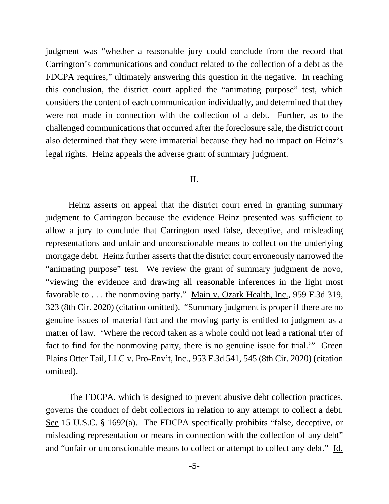judgment was "whether a reasonable jury could conclude from the record that Carrington's communications and conduct related to the collection of a debt as the FDCPA requires," ultimately answering this question in the negative. In reaching this conclusion, the district court applied the "animating purpose" test, which considers the content of each communication individually, and determined that they were not made in connection with the collection of a debt. Further, as to the challenged communications that occurred after the foreclosure sale, the district court also determined that they were immaterial because they had no impact on Heinz's legal rights. Heinz appeals the adverse grant of summary judgment.

## II.

Heinz asserts on appeal that the district court erred in granting summary judgment to Carrington because the evidence Heinz presented was sufficient to allow a jury to conclude that Carrington used false, deceptive, and misleading representations and unfair and unconscionable means to collect on the underlying mortgage debt. Heinz further asserts that the district court erroneously narrowed the "animating purpose" test. We review the grant of summary judgment de novo, "viewing the evidence and drawing all reasonable inferences in the light most favorable to . . . the nonmoving party." Main v. Ozark Health, Inc., 959 F.3d 319, 323 (8th Cir. 2020) (citation omitted). "Summary judgment is proper if there are no genuine issues of material fact and the moving party is entitled to judgment as a matter of law. 'Where the record taken as a whole could not lead a rational trier of fact to find for the nonmoving party, there is no genuine issue for trial.'" Green Plains Otter Tail, LLC v. Pro-Env't, Inc., 953 F.3d 541, 545 (8th Cir. 2020) (citation omitted).

The FDCPA, which is designed to prevent abusive debt collection practices, governs the conduct of debt collectors in relation to any attempt to collect a debt. See 15 U.S.C. § 1692(a). The FDCPA specifically prohibits "false, deceptive, or misleading representation or means in connection with the collection of any debt" and "unfair or unconscionable means to collect or attempt to collect any debt." Id.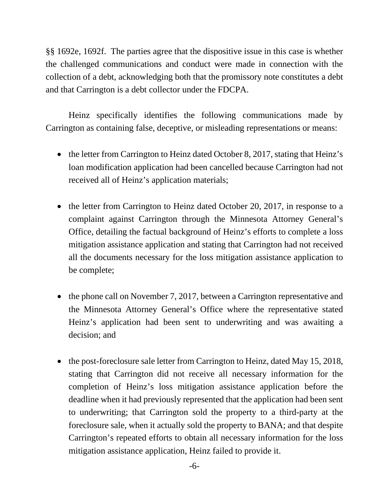§§ 1692e, 1692f. The parties agree that the dispositive issue in this case is whether the challenged communications and conduct were made in connection with the collection of a debt, acknowledging both that the promissory note constitutes a debt and that Carrington is a debt collector under the FDCPA.

Heinz specifically identifies the following communications made by Carrington as containing false, deceptive, or misleading representations or means:

- the letter from Carrington to Heinz dated October 8, 2017, stating that Heinz's loan modification application had been cancelled because Carrington had not received all of Heinz's application materials;
- the letter from Carrington to Heinz dated October 20, 2017, in response to a complaint against Carrington through the Minnesota Attorney General's Office, detailing the factual background of Heinz's efforts to complete a loss mitigation assistance application and stating that Carrington had not received all the documents necessary for the loss mitigation assistance application to be complete;
- the phone call on November 7, 2017, between a Carrington representative and the Minnesota Attorney General's Office where the representative stated Heinz's application had been sent to underwriting and was awaiting a decision; and
- the post-foreclosure sale letter from Carrington to Heinz, dated May 15, 2018, stating that Carrington did not receive all necessary information for the completion of Heinz's loss mitigation assistance application before the deadline when it had previously represented that the application had been sent to underwriting; that Carrington sold the property to a third-party at the foreclosure sale, when it actually sold the property to BANA; and that despite Carrington's repeated efforts to obtain all necessary information for the loss mitigation assistance application, Heinz failed to provide it.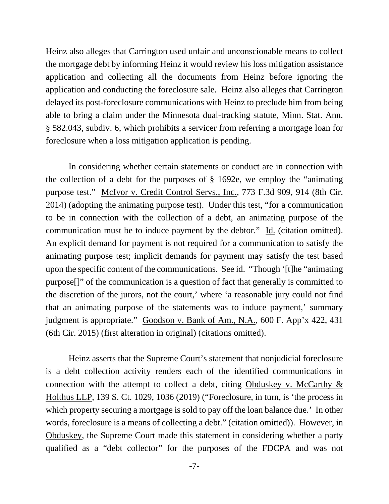Heinz also alleges that Carrington used unfair and unconscionable means to collect the mortgage debt by informing Heinz it would review his loss mitigation assistance application and collecting all the documents from Heinz before ignoring the application and conducting the foreclosure sale. Heinz also alleges that Carrington delayed its post-foreclosure communications with Heinz to preclude him from being able to bring a claim under the Minnesota dual-tracking statute, Minn. Stat. Ann. § 582.043, subdiv. 6, which prohibits a servicer from referring a mortgage loan for foreclosure when a loss mitigation application is pending.

In considering whether certain statements or conduct are in connection with the collection of a debt for the purposes of § 1692e, we employ the "animating purpose test." McIvor v. Credit Control Servs., Inc., 773 F.3d 909, 914 (8th Cir. 2014) (adopting the animating purpose test). Under this test, "for a communication to be in connection with the collection of a debt, an animating purpose of the communication must be to induce payment by the debtor." Id. (citation omitted). An explicit demand for payment is not required for a communication to satisfy the animating purpose test; implicit demands for payment may satisfy the test based upon the specific content of the communications. See id. "Though '[t]he "animating purpose[]" of the communication is a question of fact that generally is committed to the discretion of the jurors, not the court,' where 'a reasonable jury could not find that an animating purpose of the statements was to induce payment,' summary judgment is appropriate." Goodson v. Bank of Am., N.A., 600 F. App'x 422, 431 (6th Cir. 2015) (first alteration in original) (citations omitted).

Heinz asserts that the Supreme Court's statement that nonjudicial foreclosure is a debt collection activity renders each of the identified communications in connection with the attempt to collect a debt, citing Obduskey v. McCarthy  $\&$ Holthus LLP, 139 S. Ct. 1029, 1036 (2019) ("Foreclosure, in turn, is 'the process in which property securing a mortgage is sold to pay off the loan balance due.' In other words, foreclosure is a means of collecting a debt." (citation omitted)). However, in Obduskey, the Supreme Court made this statement in considering whether a party qualified as a "debt collector" for the purposes of the FDCPA and was not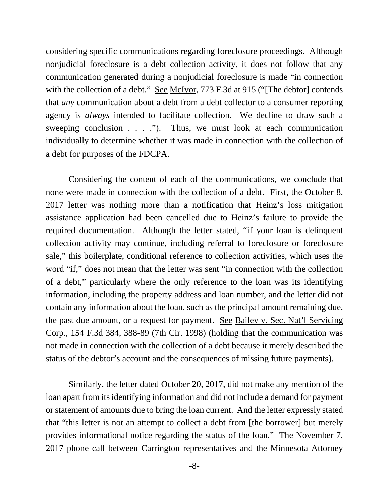considering specific communications regarding foreclosure proceedings. Although nonjudicial foreclosure is a debt collection activity, it does not follow that any communication generated during a nonjudicial foreclosure is made "in connection with the collection of a debt." See McIvor, 773 F.3d at 915 ("The debtor] contends that *any* communication about a debt from a debt collector to a consumer reporting agency is *always* intended to facilitate collection. We decline to draw such a sweeping conclusion  $\ldots$  ..."). Thus, we must look at each communication individually to determine whether it was made in connection with the collection of a debt for purposes of the FDCPA.

Considering the content of each of the communications, we conclude that none were made in connection with the collection of a debt. First, the October 8, 2017 letter was nothing more than a notification that Heinz's loss mitigation assistance application had been cancelled due to Heinz's failure to provide the required documentation. Although the letter stated, "if your loan is delinquent collection activity may continue, including referral to foreclosure or foreclosure sale," this boilerplate, conditional reference to collection activities, which uses the word "if," does not mean that the letter was sent "in connection with the collection of a debt," particularly where the only reference to the loan was its identifying information, including the property address and loan number, and the letter did not contain any information about the loan, such as the principal amount remaining due, the past due amount, or a request for payment. See Bailey v. Sec. Nat'l Servicing Corp., 154 F.3d 384, 388-89 (7th Cir. 1998) (holding that the communication was not made in connection with the collection of a debt because it merely described the status of the debtor's account and the consequences of missing future payments).

Similarly, the letter dated October 20, 2017, did not make any mention of the loan apart from its identifying information and did not include a demand for payment or statement of amounts due to bring the loan current. And the letter expressly stated that "this letter is not an attempt to collect a debt from [the borrower] but merely provides informational notice regarding the status of the loan." The November 7, 2017 phone call between Carrington representatives and the Minnesota Attorney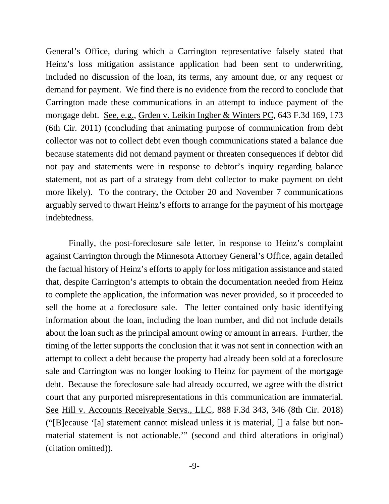General's Office, during which a Carrington representative falsely stated that Heinz's loss mitigation assistance application had been sent to underwriting, included no discussion of the loan, its terms, any amount due, or any request or demand for payment. We find there is no evidence from the record to conclude that Carrington made these communications in an attempt to induce payment of the mortgage debt. See, e.g., Grden v. Leikin Ingber & Winters PC, 643 F.3d 169, 173 (6th Cir. 2011) (concluding that animating purpose of communication from debt collector was not to collect debt even though communications stated a balance due because statements did not demand payment or threaten consequences if debtor did not pay and statements were in response to debtor's inquiry regarding balance statement, not as part of a strategy from debt collector to make payment on debt more likely). To the contrary, the October 20 and November 7 communications arguably served to thwart Heinz's efforts to arrange for the payment of his mortgage indebtedness.

Finally, the post-foreclosure sale letter, in response to Heinz's complaint against Carrington through the Minnesota Attorney General's Office, again detailed the factual history of Heinz's efforts to apply for loss mitigation assistance and stated that, despite Carrington's attempts to obtain the documentation needed from Heinz to complete the application, the information was never provided, so it proceeded to sell the home at a foreclosure sale. The letter contained only basic identifying information about the loan, including the loan number, and did not include details about the loan such as the principal amount owing or amount in arrears. Further, the timing of the letter supports the conclusion that it was not sent in connection with an attempt to collect a debt because the property had already been sold at a foreclosure sale and Carrington was no longer looking to Heinz for payment of the mortgage debt. Because the foreclosure sale had already occurred, we agree with the district court that any purported misrepresentations in this communication are immaterial. See Hill v. Accounts Receivable Servs., LLC, 888 F.3d 343, 346 (8th Cir. 2018) ("[B]ecause '[a] statement cannot mislead unless it is material, [] a false but nonmaterial statement is not actionable.'" (second and third alterations in original) (citation omitted)).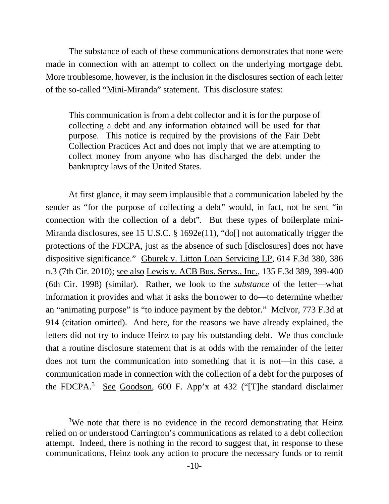The substance of each of these communications demonstrates that none were made in connection with an attempt to collect on the underlying mortgage debt. More troublesome, however, is the inclusion in the disclosures section of each letter of the so-called "Mini-Miranda" statement. This disclosure states:

This communication is from a debt collector and it is for the purpose of collecting a debt and any information obtained will be used for that purpose. This notice is required by the provisions of the Fair Debt Collection Practices Act and does not imply that we are attempting to collect money from anyone who has discharged the debt under the bankruptcy laws of the United States.

At first glance, it may seem implausible that a communication labeled by the sender as "for the purpose of collecting a debt" would, in fact, not be sent "in connection with the collection of a debt". But these types of boilerplate mini-Miranda disclosures, see 15 U.S.C. § 1692e(11), "do[] not automatically trigger the protections of the FDCPA, just as the absence of such [disclosures] does not have dispositive significance." Gburek v. Litton Loan Servicing LP, 614 F.3d 380, 386 n.3 (7th Cir. 2010); see also Lewis v. ACB Bus. Servs., Inc., 135 F.3d 389, 399-400 (6th Cir. 1998) (similar). Rather, we look to the *substance* of the letter—what information it provides and what it asks the borrower to do—to determine whether an "animating purpose" is "to induce payment by the debtor." McIvor, 773 F.3d at 914 (citation omitted). And here, for the reasons we have already explained, the letters did not try to induce Heinz to pay his outstanding debt. We thus conclude that a routine disclosure statement that is at odds with the remainder of the letter does not turn the communication into something that it is not—in this case, a communication made in connection with the collection of a debt for the purposes of the FDCPA.<sup>[3](#page-9-0)</sup> See Goodson, 600 F. App'x at 432 ("[T]he standard disclaimer

<span id="page-9-0"></span><sup>&</sup>lt;sup>3</sup>We note that there is no evidence in the record demonstrating that Heinz relied on or understood Carrington's communications as related to a debt collection attempt. Indeed, there is nothing in the record to suggest that, in response to these communications, Heinz took any action to procure the necessary funds or to remit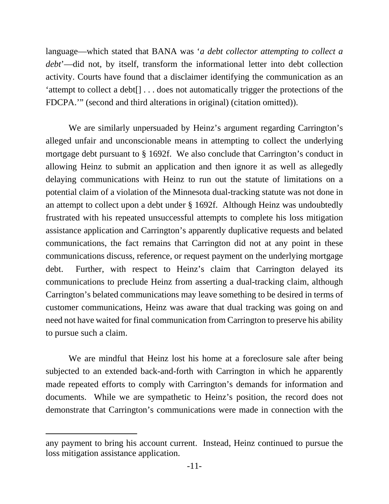language—which stated that BANA was '*a debt collector attempting to collect a debt*'—did not, by itself, transform the informational letter into debt collection activity. Courts have found that a disclaimer identifying the communication as an 'attempt to collect a debt[] . . . does not automatically trigger the protections of the FDCPA.'" (second and third alterations in original) (citation omitted)).

We are similarly unpersuaded by Heinz's argument regarding Carrington's alleged unfair and unconscionable means in attempting to collect the underlying mortgage debt pursuant to § 1692f. We also conclude that Carrington's conduct in allowing Heinz to submit an application and then ignore it as well as allegedly delaying communications with Heinz to run out the statute of limitations on a potential claim of a violation of the Minnesota dual-tracking statute was not done in an attempt to collect upon a debt under § 1692f. Although Heinz was undoubtedly frustrated with his repeated unsuccessful attempts to complete his loss mitigation assistance application and Carrington's apparently duplicative requests and belated communications, the fact remains that Carrington did not at any point in these communications discuss, reference, or request payment on the underlying mortgage debt. Further, with respect to Heinz's claim that Carrington delayed its communications to preclude Heinz from asserting a dual-tracking claim, although Carrington's belated communications may leave something to be desired in terms of customer communications, Heinz was aware that dual tracking was going on and need not have waited for final communication from Carrington to preserve his ability to pursue such a claim.

We are mindful that Heinz lost his home at a foreclosure sale after being subjected to an extended back-and-forth with Carrington in which he apparently made repeated efforts to comply with Carrington's demands for information and documents. While we are sympathetic to Heinz's position, the record does not demonstrate that Carrington's communications were made in connection with the

any payment to bring his account current. Instead, Heinz continued to pursue the loss mitigation assistance application.